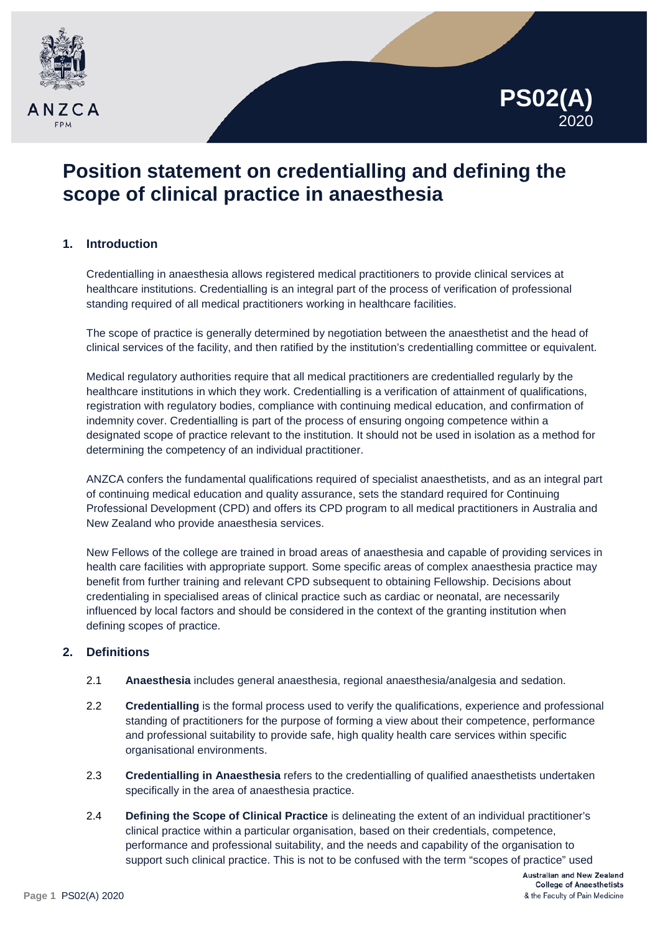



# **Position statement on credentialling and defining the scope of clinical practice in anaesthesia**

# **1. Introduction**

Credentialling in anaesthesia allows registered medical practitioners to provide clinical services at healthcare institutions. Credentialling is an integral part of the process of verification of professional standing required of all medical practitioners working in healthcare facilities.

The scope of practice is generally determined by negotiation between the anaesthetist and the head of clinical services of the facility, and then ratified by the institution's credentialling committee or equivalent.

Medical regulatory authorities require that all medical practitioners are credentialled regularly by the healthcare institutions in which they work. Credentialling is a verification of attainment of qualifications, registration with regulatory bodies, compliance with continuing medical education, and confirmation of indemnity cover. Credentialling is part of the process of ensuring ongoing competence within a designated scope of practice relevant to the institution. It should not be used in isolation as a method for determining the competency of an individual practitioner.

ANZCA confers the fundamental qualifications required of specialist anaesthetists, and as an integral part of continuing medical education and quality assurance, sets the standard required for Continuing Professional Development (CPD) and offers its CPD program to all medical practitioners in Australia and New Zealand who provide anaesthesia services.

New Fellows of the college are trained in broad areas of anaesthesia and capable of providing services in health care facilities with appropriate support. Some specific areas of complex anaesthesia practice may benefit from further training and relevant CPD subsequent to obtaining Fellowship. Decisions about credentialing in specialised areas of clinical practice such as cardiac or neonatal, are necessarily influenced by local factors and should be considered in the context of the granting institution when defining scopes of practice.

# **2. Definitions**

- 2.1 **Anaesthesia** includes general anaesthesia, regional anaesthesia/analgesia and sedation.
- 2.2 **Credentialling** is the formal process used to verify the qualifications, experience and professional standing of practitioners for the purpose of forming a view about their competence, performance and professional suitability to provide safe, high quality health care services within specific organisational environments.
- 2.3 **Credentialling in Anaesthesia** refers to the credentialling of qualified anaesthetists undertaken specifically in the area of anaesthesia practice.
- 2.4 **Defining the Scope of Clinical Practice** is delineating the extent of an individual practitioner's clinical practice within a particular organisation, based on their credentials, competence, performance and professional suitability, and the needs and capability of the organisation to support such clinical practice. This is not to be confused with the term "scopes of practice" used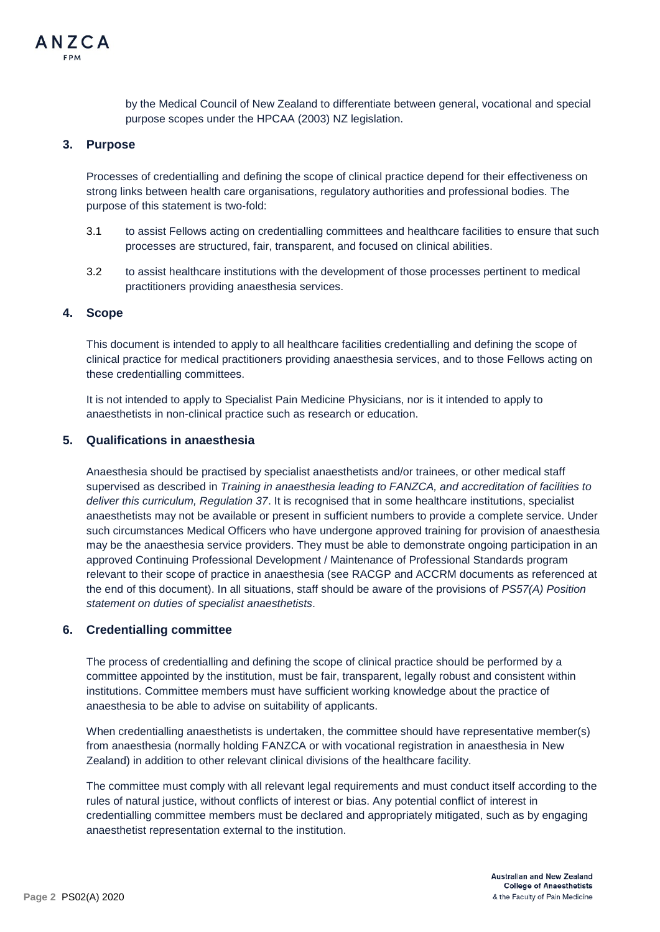by the Medical Council of New Zealand to differentiate between general, vocational and special purpose scopes under the HPCAA (2003) NZ legislation.

#### **3. Purpose**

Processes of credentialling and defining the scope of clinical practice depend for their effectiveness on strong links between health care organisations, regulatory authorities and professional bodies. The purpose of this statement is two-fold:

- 3.1 to assist Fellows acting on credentialling committees and healthcare facilities to ensure that such processes are structured, fair, transparent, and focused on clinical abilities.
- 3.2 to assist healthcare institutions with the development of those processes pertinent to medical practitioners providing anaesthesia services.

#### **4. Scope**

This document is intended to apply to all healthcare facilities credentialling and defining the scope of clinical practice for medical practitioners providing anaesthesia services, and to those Fellows acting on these credentialling committees.

It is not intended to apply to Specialist Pain Medicine Physicians, nor is it intended to apply to anaesthetists in non-clinical practice such as research or education.

## **5. Qualifications in anaesthesia**

Anaesthesia should be practised by specialist anaesthetists and/or trainees, or other medical staff supervised as described in *Training in anaesthesia leading to FANZCA, and accreditation of facilities to deliver this curriculum, Regulation 37*. It is recognised that in some healthcare institutions, specialist anaesthetists may not be available or present in sufficient numbers to provide a complete service. Under such circumstances Medical Officers who have undergone approved training for provision of anaesthesia may be the anaesthesia service providers. They must be able to demonstrate ongoing participation in an approved Continuing Professional Development / Maintenance of Professional Standards program relevant to their scope of practice in anaesthesia (see RACGP and ACCRM documents as referenced at the end of this document). In all situations, staff should be aware of the provisions of *PS57(A) Position statement on duties of specialist anaesthetists*.

## **6. Credentialling committee**

The process of credentialling and defining the scope of clinical practice should be performed by a committee appointed by the institution, must be fair, transparent, legally robust and consistent within institutions. Committee members must have sufficient working knowledge about the practice of anaesthesia to be able to advise on suitability of applicants.

When credentialling anaesthetists is undertaken, the committee should have representative member(s) from anaesthesia (normally holding FANZCA or with vocational registration in anaesthesia in New Zealand) in addition to other relevant clinical divisions of the healthcare facility.

The committee must comply with all relevant legal requirements and must conduct itself according to the rules of natural justice, without conflicts of interest or bias. Any potential conflict of interest in credentialling committee members must be declared and appropriately mitigated, such as by engaging anaesthetist representation external to the institution.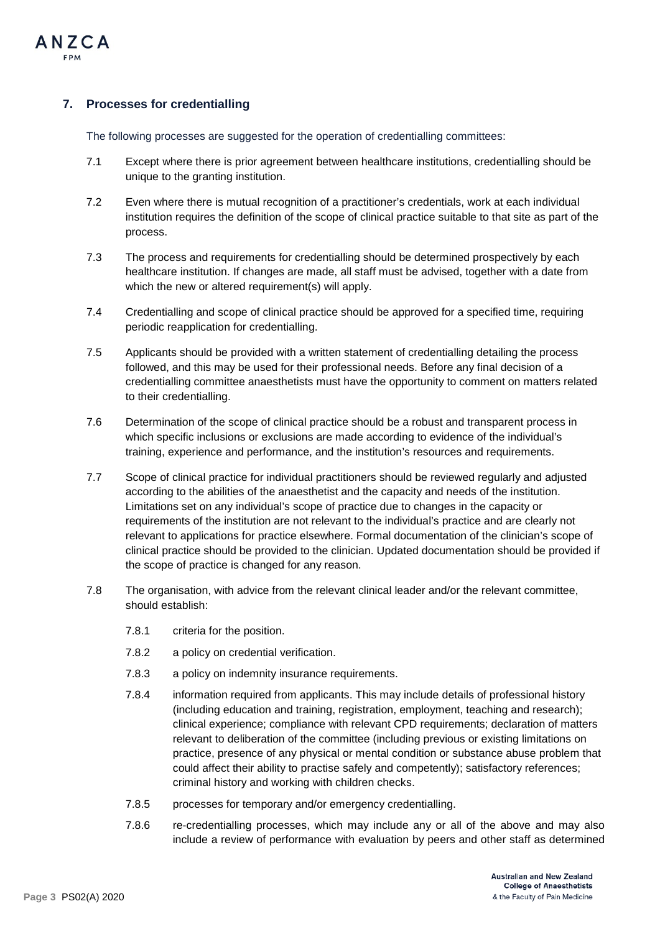

# **7. Processes for credentialling**

The following processes are suggested for the operation of credentialling committees:

- 7.1 Except where there is prior agreement between healthcare institutions, credentialling should be unique to the granting institution.
- 7.2 Even where there is mutual recognition of a practitioner's credentials, work at each individual institution requires the definition of the scope of clinical practice suitable to that site as part of the process.
- 7.3 The process and requirements for credentialling should be determined prospectively by each healthcare institution. If changes are made, all staff must be advised, together with a date from which the new or altered requirement(s) will apply.
- 7.4 Credentialling and scope of clinical practice should be approved for a specified time, requiring periodic reapplication for credentialling.
- 7.5 Applicants should be provided with a written statement of credentialling detailing the process followed, and this may be used for their professional needs. Before any final decision of a credentialling committee anaesthetists must have the opportunity to comment on matters related to their credentialling.
- 7.6 Determination of the scope of clinical practice should be a robust and transparent process in which specific inclusions or exclusions are made according to evidence of the individual's training, experience and performance, and the institution's resources and requirements.
- 7.7 Scope of clinical practice for individual practitioners should be reviewed regularly and adjusted according to the abilities of the anaesthetist and the capacity and needs of the institution. Limitations set on any individual's scope of practice due to changes in the capacity or requirements of the institution are not relevant to the individual's practice and are clearly not relevant to applications for practice elsewhere. Formal documentation of the clinician's scope of clinical practice should be provided to the clinician. Updated documentation should be provided if the scope of practice is changed for any reason.
- 7.8 The organisation, with advice from the relevant clinical leader and/or the relevant committee, should establish:
	- 7.8.1 criteria for the position.
	- 7.8.2 a policy on credential verification.
	- 7.8.3 a policy on indemnity insurance requirements.
	- 7.8.4 information required from applicants. This may include details of professional history (including education and training, registration, employment, teaching and research); clinical experience; compliance with relevant CPD requirements; declaration of matters relevant to deliberation of the committee (including previous or existing limitations on practice, presence of any physical or mental condition or substance abuse problem that could affect their ability to practise safely and competently); satisfactory references; criminal history and working with children checks.
	- 7.8.5 processes for temporary and/or emergency credentialling.
	- 7.8.6 re-credentialling processes, which may include any or all of the above and may also include a review of performance with evaluation by peers and other staff as determined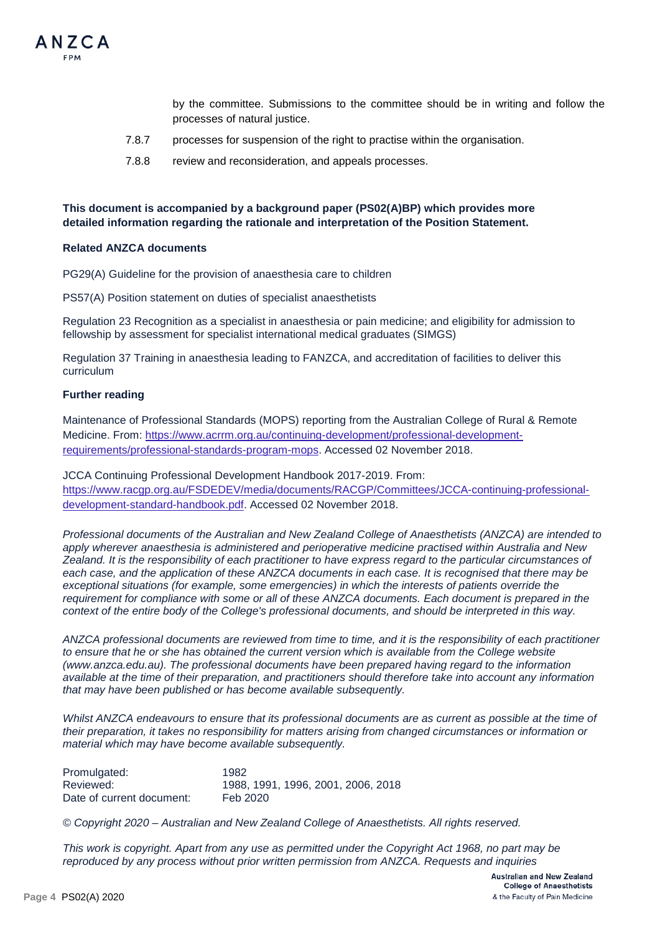

by the committee. Submissions to the committee should be in writing and follow the processes of natural justice.

- 7.8.7 processes for suspension of the right to practise within the organisation.
- 7.8.8 review and reconsideration, and appeals processes.

## **This document is accompanied by a background paper (PS02(A)BP) which provides more detailed information regarding the rationale and interpretation of the Position Statement.**

#### **Related ANZCA documents**

PG29(A) Guideline for the provision of anaesthesia care to children

PS57(A) Position statement on duties of specialist anaesthetists

Regulation 23 Recognition as a specialist in anaesthesia or pain medicine; and eligibility for admission to fellowship by assessment for specialist international medical graduates (SIMGS)

Regulation 37 Training in anaesthesia leading to FANZCA, and accreditation of facilities to deliver this curriculum

#### **Further reading**

Maintenance of Professional Standards (MOPS) reporting from the Australian College of Rural & Remote Medicine. From: [https://www.acrrm.org.au/continuing-development/professional-development](https://www.acrrm.org.au/continuing-development/professional-development-requirements/professional-standards-program-mops)[requirements/professional-standards-program-mops.](https://www.acrrm.org.au/continuing-development/professional-development-requirements/professional-standards-program-mops) Accessed 02 November 2018.

JCCA Continuing Professional Development Handbook 2017-2019. From: [https://www.racgp.org.au/FSDEDEV/media/documents/RACGP/Committees/JCCA-continuing-professional](https://www.racgp.org.au/FSDEDEV/media/documents/RACGP/Committees/JCCA-continuing-professional-development-standard-handbook.pdf)[development-standard-handbook.pdf.](https://www.racgp.org.au/FSDEDEV/media/documents/RACGP/Committees/JCCA-continuing-professional-development-standard-handbook.pdf) Accessed 02 November 2018.

*Professional documents of the Australian and New Zealand College of Anaesthetists (ANZCA) are intended to apply wherever anaesthesia is administered and perioperative medicine practised within Australia and New Zealand. It is the responsibility of each practitioner to have express regard to the particular circumstances of*  each case, and the application of these ANZCA documents in each case. It is recognised that there may be *exceptional situations (for example, some emergencies) in which the interests of patients override the requirement for compliance with some or all of these ANZCA documents. Each document is prepared in the context of the entire body of the College's professional documents, and should be interpreted in this way.*

*ANZCA professional documents are reviewed from time to time, and it is the responsibility of each practitioner to ensure that he or she has obtained the current version which is available from the College website [\(www.anzca.edu.au\)](http://www.anzca.edu.au/). The professional documents have been prepared having regard to the information available at the time of their preparation, and practitioners should therefore take into account any information that may have been published or has become available subsequently.*

*Whilst ANZCA endeavours to ensure that its professional documents are as current as possible at the time of their preparation, it takes no responsibility for matters arising from changed circumstances or information or material which may have become available subsequently.*

| Promulgated:              | 1982                               |
|---------------------------|------------------------------------|
| Reviewed:                 | 1988, 1991, 1996, 2001, 2006, 2018 |
| Date of current document: | Feb 2020                           |

*© Copyright 2020 – Australian and New Zealand College of Anaesthetists. All rights reserved.*

*This work is copyright. Apart from any use as permitted under the Copyright Act 1968, no part may be reproduced by any process without prior written permission from ANZCA. Requests and inquiries*